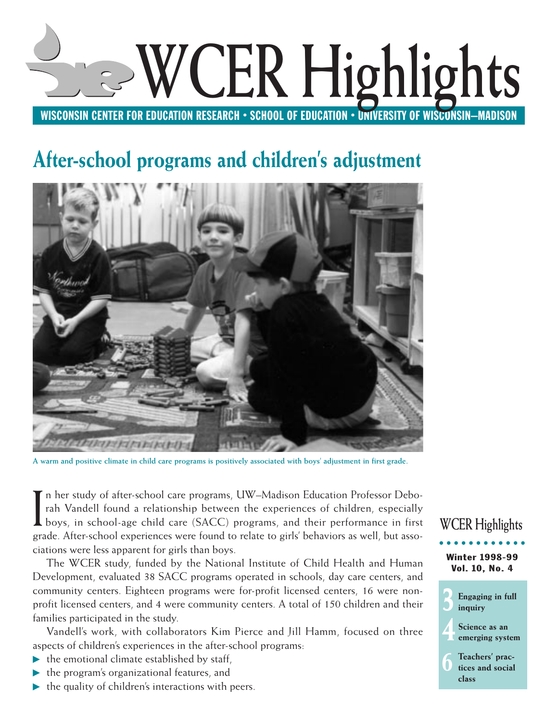

# **After-school programs and children's adjustment**



**A warm and positive climate in child care programs is positively associated with boys' adjustment in first grade.**

I n her study of after-school care programs, UW–Madison Education Professor Deborah Vandell found a relationship between the experiences of children, especially boys, in school-age child care (SACC) programs, and their performance in first grade. After-school experiences were found to relate to girls' behaviors as well, but associations were less apparent for girls than boys.

The WCER study, funded by the National Institute of Child Health and Human Development, evaluated 38 SACC programs operated in schools, day care centers, and community centers. Eighteen programs were for-profit licensed centers, 16 were nonprofit licensed centers, and 4 were community centers. A total of 150 children and their families participated in the study.

Vandell's work, with collaborators Kim Pierce and Jill Hamm, focused on three aspects of children's experiences in the after-school programs:

- $\blacktriangleright$  the emotional climate established by staff,
- $\blacktriangleright$  the program's organizational features, and
- $\blacktriangleright$  the quality of children's interactions with peers.

## Winter 1998-99 Vol. 10, No. 4 **WCER Highlights**

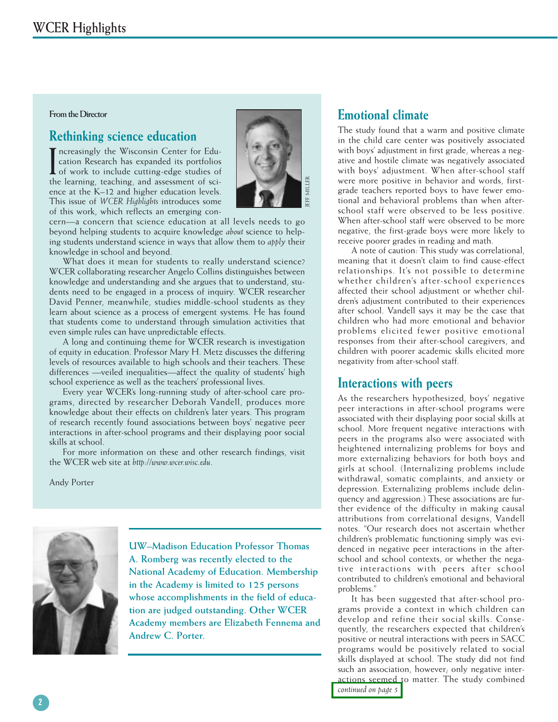#### **From the Director**

## **Rethinking science education**

Increasingly the Wisconsin Center for Education Research has expanded its portfolios<br>of work to include cutting-edge studies of<br>the learning teaching and assessment of scincreasingly the Wisconsin Center for Education Research has expanded its portfolios the learning, teaching, and assessment of science at the K–12 and higher education levels. This issue of *WCER Highlights* introduces some of this work, which reflects an emerging con-



cern—a concern that science education at all levels needs to go beyond helping students to acquire knowledge *about* science to helping students understand science in ways that allow them to *apply* their knowledge in school and beyond.

What does it mean for students to really understand science? WCER collaborating researcher Angelo Collins distinguishes between knowledge and understanding and she argues that to understand, students need to be engaged in a process of inquiry. WCER researcher David Penner, meanwhile, studies middle-school students as they learn about science as a process of emergent systems. He has found that students come to understand through simulation activities that even simple rules can have unpredictable effects.

A long and continuing theme for WCER research is investigation of equity in education. Professor Mary H. Metz discusses the differing levels of resources available to high schools and their teachers. These differences —veiled inequalities—affect the quality of students' high school experience as well as the teachers' professional lives.

Every year WCER's long-running study of after-school care programs, directed by researcher Deborah Vandell, produces more knowledge about their effects on children's later years. This program of research recently found associations between boys' negative peer interactions in after-school programs and their displaying poor social skills at school.

For more information on these and other research findings, visit the WCER web site at *http://www.wcer.wisc.edu*.

Andy Porter



**UW–Madison Education Professor Thomas A. Romberg was recently elected to the National Academy of Education. Membership in the Academy is limited to 125 persons whose accomplishments in the field of education are judged outstanding. Other WCER Academy members are Elizabeth Fennema and Andrew C. Porter.**

## **Emotional climate**

The study found that a warm and positive climate in the child care center was positively associated with boys' adjustment in first grade, whereas a negative and hostile climate was negatively associated with boys' adjustment. When after-school staff were more positive in behavior and words, firstgrade teachers reported boys to have fewer emotional and behavioral problems than when afterschool staff were observed to be less positive. When after-school staff were observed to be more negative, the first-grade boys were more likely to receive poorer grades in reading and math.

A note of caution: This study was correlational, meaning that it doesn't claim to find cause-effect relationships. It's not possible to determine whether children's after-school experiences affected their school adjustment or whether children's adjustment contributed to their experiences after school. Vandell says it may be the case that children who had more emotional and behavior problems elicited fewer positive emotional responses from their after-school caregivers, and children with poorer academic skills elicited more negativity from after-school staff.

### **Interactions with peers**

As the researchers hypothesized, boys' negative peer interactions in after-school programs were associated with their displaying poor social skills at school. More frequent negative interactions with peers in the programs also were associated with heightened internalizing problems for boys and more externalizing behaviors for both boys and girls at school. (Internalizing problems include withdrawal, somatic complaints, and anxiety or depression. Externalizing problems include delinquency and aggression.) These associations are further evidence of the difficulty in making causal attributions from correlational designs, Vandell notes. "Our research does not ascertain whether children's problematic functioning simply was evidenced in negative peer interactions in the afterschool and school contexts, or whether the negative interactions with peers after school contributed to children's emotional and behavioral problems."

It has been suggested that after-school programs provide a context in which children can develop and refine their social skills. Consequently, the researchers expected that children's positive or neutral interactions with peers in SACC programs would be positively related to social skills displayed at school. The study did not find such an association, however; only negative interactions seemed to matter. The study combined *[continued on page 5](#page-4-0)*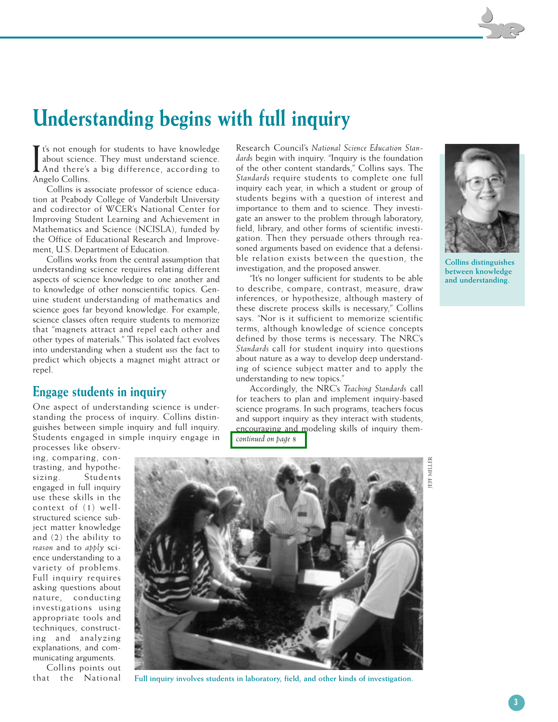## <span id="page-2-0"></span>**Understanding begins with full inquiry**

It's not enough for students to have knowledge<br>about science. They must understand science.<br>And there's a big difference, according to<br>Angelo Collins about science. They must understand science. And there's a big difference, according to Angelo Collins.

Collins is associate professor of science education at Peabody College of Vanderbilt University and codirector of WCER's National Center for Improving Student Learning and Achievement in Mathematics and Science (NCISLA), funded by the Office of Educational Research and Improvement, U.S. Department of Education.

Collins works from the central assumption that understanding science requires relating different aspects of science knowledge to one another and to knowledge of other nonscientific topics. Genuine student understanding of mathematics and science goes far beyond knowledge. For example, science classes often require students to memorize that "magnets attract and repel each other and other types of materials." This isolated fact evolves into understanding when a student *uses* the fact to predict which objects a magnet might attract or repel.

### **Engage students in inquiry**

One aspect of understanding science is understanding the process of inquiry. Collins distinguishes between simple inquiry and full inquiry. Students engaged in simple inquiry engage in

processes like observing, comparing, contrasting, and hypothesizing. Students engaged in full inquiry use these skills in the context of (1) wellstructured science subject matter knowledge and (2) the ability to *reason* and to *apply* science understanding to a variety of problems. Full inquiry requires asking questions about nature, conducting investigations using appropriate tools and techniques, constructing and analyzing explanations, and communicating arguments.

Collins points out that the National



Research Council's *National Science Education Standards* begin with inquiry. "Inquiry is the foundation of the other content standards," Collins says. The *Standards* require students to complete one full inquiry each year, in which a student or group of students begins with a question of interest and importance to them and to science. They investigate an answer to the problem through laboratory, field, library, and other forms of scientific investigation. Then they persuade others through reasoned arguments based on evidence that a defensible relation exists between the question, the

investigation, and the proposed answer.

understanding to new topics."

*[continued on page 8](#page-7-0)*

"It's no longer sufficient for students to be able to describe, compare, contrast, measure, draw inferences, or hypothesize, although mastery of these discrete process skills is necessary," Collins says. "Nor is it sufficient to memorize scientific terms, although knowledge of science concepts defined by those terms is necessary. The NRC's *Standards* call for student inquiry into questions about nature as a way to develop deep understanding of science subject matter and to apply the

Accordingly, the NRC's *Teaching Standards* call for teachers to plan and implement inquiry-based science programs. In such programs, teachers focus and support inquiry as they interact with students, encouraging and modeling skills of inquiry them-

**Full inquiry involves students in laboratory, field, and other kinds of investigation.**



**Collins distinguishes between knowledge and understanding.**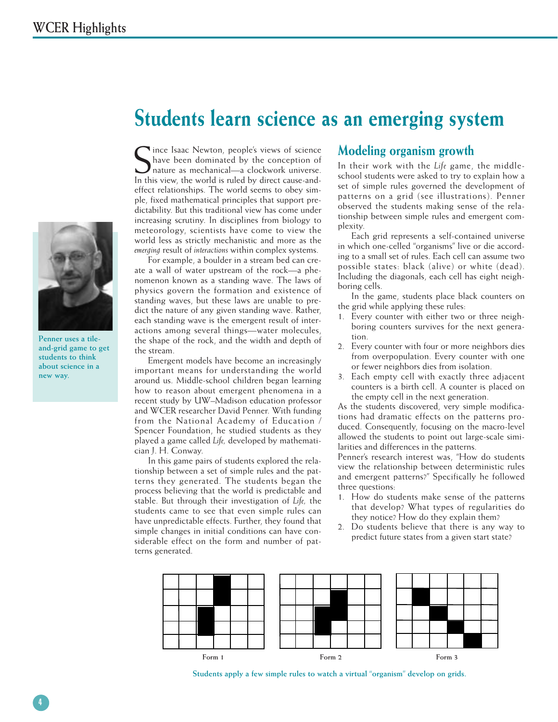

**Penner uses a tileand-grid game to get students to think about science in a new way.**

## <span id="page-3-0"></span>**Students learn science as an emerging system**

Since Isaac Newton, people's views of science<br>
Shave been dominated by the conception of<br>
nature as mechanical—a clockwork universe.<br>
In this view, the world is ruled by direct cause-andince Isaac Newton, people's views of science have been dominated by the conception of nature as mechanical—a clockwork universe. effect relationships. The world seems to obey simple, fixed mathematical principles that support predictability. But this traditional view has come under increasing scrutiny. In disciplines from biology to meteorology, scientists have come to view the world less as strictly mechanistic and more as the *emerging* result of *interactions* within complex systems.

For example, a boulder in a stream bed can create a wall of water upstream of the rock—a phenomenon known as a standing wave. The laws of physics govern the formation and existence of standing waves, but these laws are unable to predict the nature of any given standing wave. Rather, each standing wave is the emergent result of interactions among several things—water molecules, the shape of the rock, and the width and depth of the stream.

Emergent models have become an increasingly important means for understanding the world around us. Middle-school children began learning how to reason about emergent phenomena in a recent study by UW–Madison education professor and WCER researcher David Penner. With funding from the National Academy of Education / Spencer Foundation, he studied students as they played a game called *Life,* developed by mathematician J. H. Conway.

In this game pairs of students explored the relationship between a set of simple rules and the patterns they generated. The students began the process believing that the world is predictable and stable. But through their investigation of *Life,* the students came to see that even simple rules can have unpredictable effects. Further, they found that simple changes in initial conditions can have considerable effect on the form and number of patterns generated.

#### **Modeling organism growth**

In their work with the *Life* game, the middleschool students were asked to try to explain how a set of simple rules governed the development of patterns on a grid (see illustrations). Penner observed the students making sense of the relationship between simple rules and emergent complexity.

Each grid represents a self-contained universe in which one-celled "organisms" live or die according to a small set of rules. Each cell can assume two possible states: black (alive) or white (dead). Including the diagonals, each cell has eight neighboring cells.

In the game, students place black counters on the grid while applying these rules:

- 1. Every counter with either two or three neighboring counters survives for the next generation.
- 2. Every counter with four or more neighbors dies from overpopulation. Every counter with one or fewer neighbors dies from isolation.
- 3. Each empty cell with exactly three adjacent counters is a birth cell. A counter is placed on the empty cell in the next generation.

As the students discovered, very simple modifications had dramatic effects on the patterns produced. Consequently, focusing on the macro-level allowed the students to point out large-scale similarities and differences in the patterns.

Penner's research interest was, "How do students view the relationship between deterministic rules and emergent patterns?" Specifically he followed three questions:

- 1. How do students make sense of the patterns that develop? What types of regularities do they notice? How do they explain them?
- 2. Do students believe that there is any way to predict future states from a given start state?



**Students apply a few simple rules to watch a virtual "organism" develop on grids.**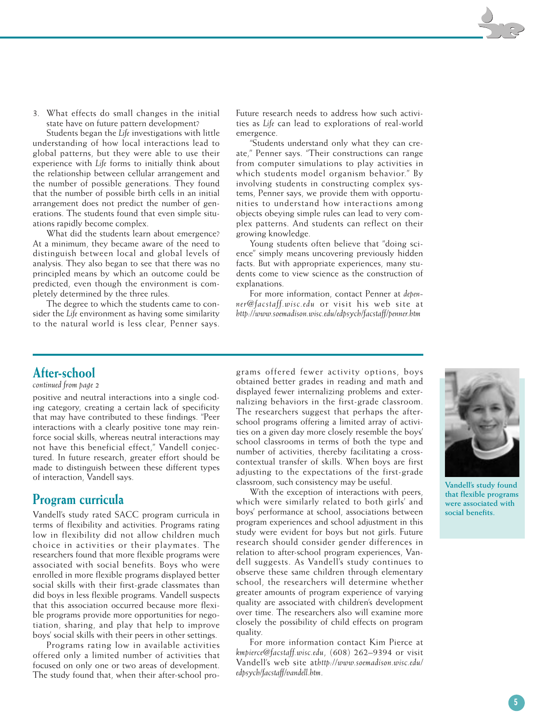<span id="page-4-0"></span>3. What effects do small changes in the initial state have on future pattern development?

Students began the *Life* investigations with little understanding of how local interactions lead to global patterns, but they were able to use their experience with *Life* forms to initially think about the relationship between cellular arrangement and the number of possible generations. They found that the number of possible birth cells in an initial arrangement does not predict the number of generations. The students found that even simple situations rapidly become complex.

What did the students learn about emergence? At a minimum, they became aware of the need to distinguish between local and global levels of analysis. They also began to see that there was no principled means by which an outcome could be predicted, even though the environment is completely determined by the three rules.

The degree to which the students came to consider the *Life* environment as having some similarity to the natural world is less clear, Penner says.

Future research needs to address how such activities as *Life* can lead to explorations of real-world emergence.

"Students understand only what they can create," Penner says. "Their constructions can range from computer simulations to play activities in which students model organism behavior." By involving students in constructing complex systems, Penner says, we provide them with opportunities to understand how interactions among objects obeying simple rules can lead to very complex patterns. And students can reflect on their growing knowledge.

Young students often believe that "doing science" simply means uncovering previously hidden facts. But with appropriate experiences, many students come to view science as the construction of explanations.

For more information, contact Penner at *depenner@facstaff.wisc.edu* or visit his web site at *http://www.soemadison.wisc.edu/edpsych/facstaff/penner.htm*

## **After-school**

#### *continued from page 2*

positive and neutral interactions into a single coding category, creating a certain lack of specificity that may have contributed to these findings. "Peer interactions with a clearly positive tone may reinforce social skills, whereas neutral interactions may not have this beneficial effect," Vandell conjectured. In future research, greater effort should be made to distinguish between these different types of interaction, Vandell says.

### **Program curricula**

Vandell's study rated SACC program curricula in terms of flexibility and activities. Programs rating low in flexibility did not allow children much choice in activities or their playmates. The researchers found that more flexible programs were associated with social benefits. Boys who were enrolled in more flexible programs displayed better social skills with their first-grade classmates than did boys in less flexible programs. Vandell suspects that this association occurred because more flexible programs provide more opportunities for negotiation, sharing, and play that help to improve boys' social skills with their peers in other settings.

Programs rating low in available activities offered only a limited number of activities that focused on only one or two areas of development. The study found that, when their after-school programs offered fewer activity options, boys obtained better grades in reading and math and displayed fewer internalizing problems and externalizing behaviors in the first-grade classroom. The researchers suggest that perhaps the afterschool programs offering a limited array of activities on a given day more closely resemble the boys' school classrooms in terms of both the type and number of activities, thereby facilitating a crosscontextual transfer of skills. When boys are first adjusting to the expectations of the first-grade classroom, such consistency may be useful.

With the exception of interactions with peers, which were similarly related to both girls' and boys' performance at school, associations between program experiences and school adjustment in this study were evident for boys but not girls. Future research should consider gender differences in relation to after-school program experiences, Vandell suggests. As Vandell's study continues to observe these same children through elementary school, the researchers will determine whether greater amounts of program experience of varying quality are associated with children's development over time. The researchers also will examine more closely the possibility of child effects on program quality.

For more information contact Kim Pierce at *kmpierce@facstaff.wisc.edu*, (608) 262–9394 or visit Vandell's web site at*http://www.soemadison.wisc.edu/ edpsych/facstaff/vandell.htm*.



**Vandell's study found that flexible programs were associated with social benefits.**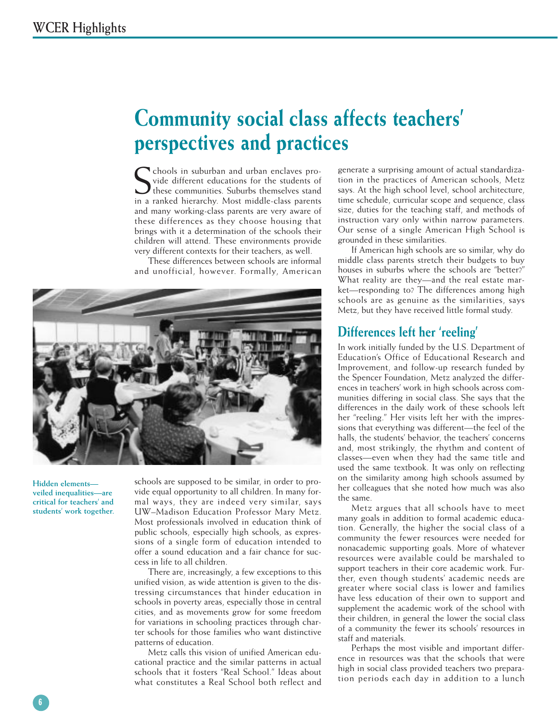## <span id="page-5-0"></span>**Community social class affects teachers' perspectives and practices**

S chools in suburban and urban enclaves provide different educations for the students of these communities. Suburbs themselves stand chools in suburban and urban enclaves provide different educations for the students of in a ranked hierarchy. Most middle-class parents and many working-class parents are very aware of these differences as they choose housing that brings with it a determination of the schools their children will attend. These environments provide very different contexts for their teachers, as well.

These differences between schools are informal and unofficial, however. Formally, American



**Hidden elements veiled inequalities—are critical for teachers' and students' work together.** schools are supposed to be similar, in order to provide equal opportunity to all children. In many formal ways, they are indeed very similar, says UW–Madison Education Professor Mary Metz. Most professionals involved in education think of public schools, especially high schools, as expressions of a single form of education intended to offer a sound education and a fair chance for success in life to all children.

There are, increasingly, a few exceptions to this unified vision, as wide attention is given to the distressing circumstances that hinder education in schools in poverty areas, especially those in central cities, and as movements grow for some freedom for variations in schooling practices through charter schools for those families who want distinctive patterns of education.

Metz calls this vision of unified American educational practice and the similar patterns in actual schools that it fosters "Real School." Ideas about what constitutes a Real School both reflect and

generate a surprising amount of actual standardization in the practices of American schools, Metz says. At the high school level, school architecture, time schedule, curricular scope and sequence, class size, duties for the teaching staff, and methods of instruction vary only within narrow parameters. Our sense of a single American High School is grounded in these similarities.

If American high schools are so similar, why do middle class parents stretch their budgets to buy houses in suburbs where the schools are "better?" What reality are they—and the real estate market—responding to? The differences among high schools are as genuine as the similarities, says Metz, but they have received little formal study.

### **Differences left her 'reeling'**

In work initially funded by the U.S. Department of Education's Office of Educational Research and Improvement, and follow-up research funded by the Spencer Foundation, Metz analyzed the differences in teachers' work in high schools across communities differing in social class. She says that the differences in the daily work of these schools left her "reeling." Her visits left her with the impressions that everything was different—the feel of the halls, the students' behavior, the teachers' concerns and, most strikingly, the rhythm and content of classes—even when they had the same title and used the same textbook. It was only on reflecting on the similarity among high schools assumed by her colleagues that she noted how much was also the same.

Metz argues that all schools have to meet many goals in addition to formal academic education. Generally, the higher the social class of a community the fewer resources were needed for nonacademic supporting goals. More of whatever resources were available could be marshaled to support teachers in their core academic work. Further, even though students' academic needs are greater where social class is lower and families have less education of their own to support and supplement the academic work of the school with their children, in general the lower the social class of a community the fewer its schools' resources in staff and materials.

Perhaps the most visible and important difference in resources was that the schools that were high in social class provided teachers two preparation periods each day in addition to a lunch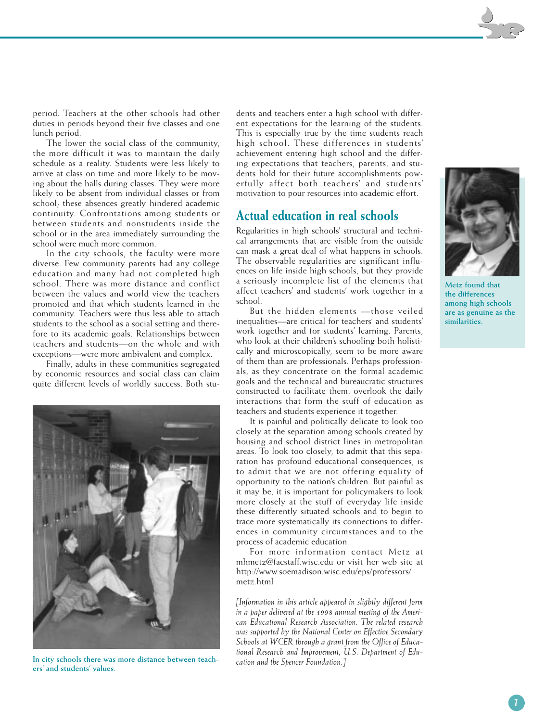period. Teachers at the other schools had other duties in periods beyond their five classes and one lunch period.

The lower the social class of the community, the more difficult it was to maintain the daily schedule as a reality. Students were less likely to arrive at class on time and more likely to be moving about the halls during classes. They were more likely to be absent from individual classes or from school; these absences greatly hindered academic continuity. Confrontations among students or between students and nonstudents inside the school or in the area immediately surrounding the school were much more common.

In the city schools, the faculty were more diverse. Few community parents had any college education and many had not completed high school. There was more distance and conflict between the values and world view the teachers promoted and that which students learned in the community. Teachers were thus less able to attach students to the school as a social setting and therefore to its academic goals. Relationships between teachers and students—on the whole and with exceptions—were more ambivalent and complex.

Finally, adults in these communities segregated by economic resources and social class can claim quite different levels of worldly success. Both stu-



*cation and the Spencer Foundation.]* **In city schools there was more distance between teachers' and students' values.**

dents and teachers enter a high school with different expectations for the learning of the students. This is especially true by the time students reach high school. These differences in students' achievement entering high school and the differing expectations that teachers, parents, and students hold for their future accomplishments powerfully affect both teachers' and students' motivation to pour resources into academic effort.

## **Actual education in real schools**

Regularities in high schools' structural and technical arrangements that are visible from the outside can mask a great deal of what happens in schools. The observable regularities are significant influences on life inside high schools, but they provide a seriously incomplete list of the elements that affect teachers' and students' work together in a school.

But the hidden elements —those veiled inequalities—are critical for teachers' and students' work together and for students' learning. Parents, who look at their children's schooling both holistically and microscopically, seem to be more aware of them than are professionals. Perhaps professionals, as they concentrate on the formal academic goals and the technical and bureaucratic structures constructed to facilitate them, overlook the daily interactions that form the stuff of education as teachers and students experience it together.

It is painful and politically delicate to look too closely at the separation among schools created by housing and school district lines in metropolitan areas. To look too closely, to admit that this separation has profound educational consequences, is to admit that we are not offering equality of opportunity to the nation's children. But painful as it may be, it is important for policymakers to look more closely at the stuff of everyday life inside these differently situated schools and to begin to trace more systematically its connections to differences in community circumstances and to the process of academic education.

For more information contact Metz at mhmetz@facstaff.wisc.edu or visit her web site at http://www.soemadison.wisc.edu/eps/professors/ metz.html

*[Information in this article appeared in slightly different form in a paper delivered at the 1998 annual meeting of the American Educational Research Association. The related research was supported by the National Center on Effective Secondary Schools at WCER through a grant from the Office of Educational Research and Improvement, U.S. Department of Edu-*



**Metz found that the differences among high schools are as genuine as the similarities.**